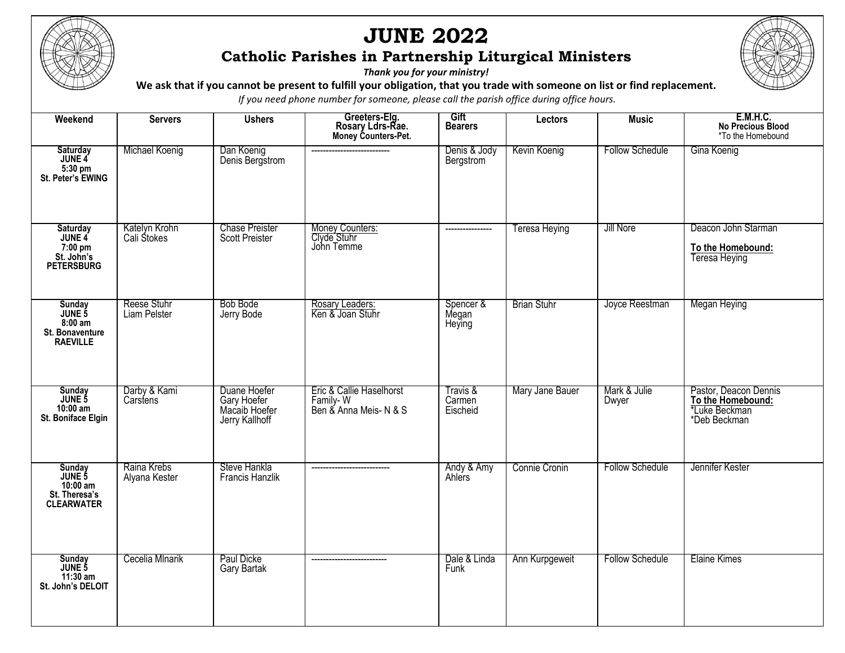

I

## **JUNE 2022 Catholic Parishes in Partnership Liturgical Ministers**

*Thank you for your ministry!*

**We ask that if you cannot be present to fulfill your obligation, that you trade with someone on list or find replacement.** 

*If you need phone number for someone, please call the parish office during office hours.*

| Weekend                                                              | <b>Servers</b>               | <b>Ushers</b>                                                  | Greeters-Elg.<br>Rosary Ldrs-Rae.<br>Money Counters-Pet.       | Gift<br><b>Bearers</b>         | Lectors              | <b>Music</b>           | <b>E.M.H.C.</b><br><b>No Precious Blood</b><br>*To the Homebound                   |
|----------------------------------------------------------------------|------------------------------|----------------------------------------------------------------|----------------------------------------------------------------|--------------------------------|----------------------|------------------------|------------------------------------------------------------------------------------|
| Saturday<br>JUNE 4<br>5:30 pm<br>St. Peter's EWING                   | Michael Koenig               | Dan Koenig<br>Denis Bergstrom                                  | ----------                                                     | Denis & Jody<br>Bergstrom      | Kevin Koenig         | <b>Follow Schedule</b> | Gina Koenig                                                                        |
| Saturday<br>JUNE 4<br>7:00 pm<br>St. John's<br><b>PETERSBURG</b>     | Katelyn Krohn<br>Cali Stokes | <b>Chase Preister</b><br><b>Scott Preister</b>                 | Money Counters:<br>Clyde Stuhr<br>John Temme                   | ----------------               | <b>Teresa Heying</b> | Jill Nore              | Deacon John Starman<br>To the Homebound:<br>Teresa Heying                          |
| Sunday<br>JUNE 5<br>$8:00$ am<br>St. Bonaventure<br><b>RAEVILLE</b>  | Reese Stuhr<br>Liam Pelster  | Bob Bode<br>Jerry Bode                                         | Rosary Leaders:<br>Ken & Joan Stuhr                            | Spencer &<br>Megan<br>Heying   | <b>Brian Stuhr</b>   | Joyce Reestman         | Megan Heying                                                                       |
| Sunday<br>JUNE 5<br>$10:00$ am<br>St. Boniface Elgin                 | Darby & Kami<br>Carstens     | Duane Hoefer<br>Gary Hoefer<br>Macaib Hoefer<br>Jerry Kallhoff | Eric & Callie Haselhorst<br>Family-W<br>Ben & Anna Meis- N & S | Travis &<br>Carmen<br>Eischeid | Mary Jane Bauer      | Mark & Julie<br>Dwyer  | Pastor, Deacon Dennis<br>To the Homebound:<br><i>*Luke Beckman</i><br>*Deb Beckman |
| Sunday<br>JUNE 5<br>$10:00$ am<br>St. Theresa's<br><b>CLEARWATER</b> | Raina Krebs<br>Alyana Kester | Steve Hankla<br><b>Francis Hanzlik</b>                         |                                                                | Andy & Amy<br>Ahlers           | Connie Cronin        | <b>Follow Schedule</b> | Jennifer Kester                                                                    |
| Sunday<br>JUNE 5<br>11:30 am<br>St. John's DELOIT                    | Cecelia Mlnarik              | Paul Dicke<br>Gary Bartak                                      | --------------------------                                     | Dale & Linda<br>Funk           | Ann Kurpgeweit       | <b>Follow Schedule</b> | Elaine Kimes                                                                       |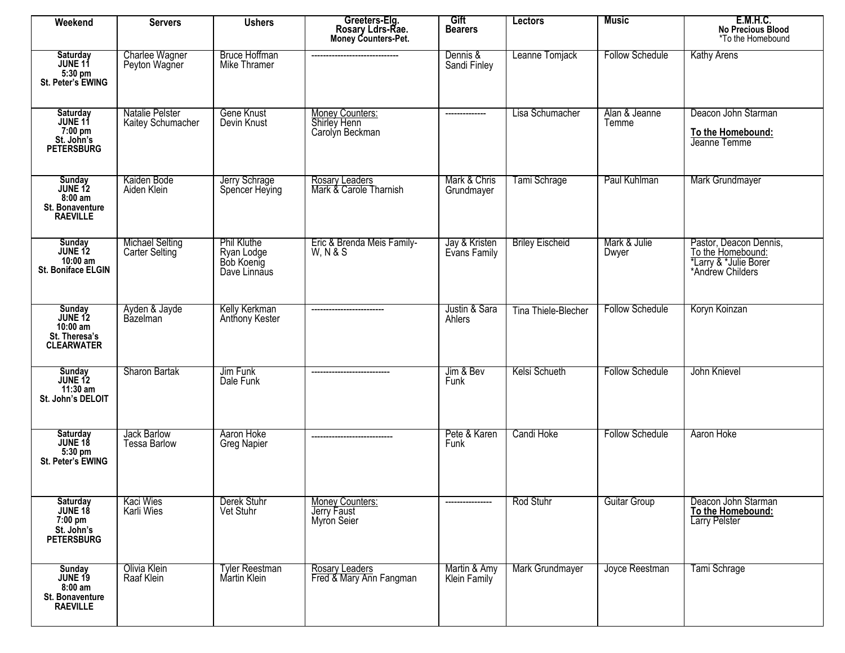| Weekend                                                                     | <b>Servers</b>                           | <b>Ushers</b>                                                  | Greeters-Elg.<br>Rosary Ldrs-Rae.<br>Money Counters-Pet. | Gift<br><b>Bearers</b>        | <b>Lectors</b>         | <b>Music</b>           | <b>E.M.H.C.</b><br>No Precious Blood<br>*To the Homebound                                |
|-----------------------------------------------------------------------------|------------------------------------------|----------------------------------------------------------------|----------------------------------------------------------|-------------------------------|------------------------|------------------------|------------------------------------------------------------------------------------------|
| Saturday<br>JUNE 11<br>5:30 pm<br>St. Peter's EWING                         | Charlee Wagner<br>Peyton Wagner          | <b>Bruce Hoffman</b><br>Mike Thramer                           |                                                          | Dennis &<br>Sandi Finley      | Leanne Tomjack         | <b>Follow Schedule</b> | <b>Kathy Arens</b>                                                                       |
| Saturday<br>JUNE 11<br>7:00 pm<br>St. John's<br>PETERSBURG                  | Natalie Pelster<br>Kaitey Schumacher     | Gene Knust<br>Devin Knust                                      | Money Counters:<br>Shirley Henn<br>Carolyn Beckman       | --------------                | Lisa Schumacher        | Alan & Jeanne<br>Temme | Deacon John Starman<br>To the Homebound:<br>Jeanne Temme                                 |
| Sunday<br>JUNE 12<br>$8:00$ am<br>St. Bonaventure<br><b>RAEVILLE</b>        | Kaiden Bode<br>Aiden Klein               | Jerry Schrage<br>Spencer Heying                                | Rosary Leaders<br>Mark & Carole Tharnish                 | Mark & Chris<br>Grundmayer    | Tami Schrage           | Paul Kuhlman           | Mark Grundmayer                                                                          |
| Sunday<br>JUNE 12<br>$10:00$ am<br>St. Boniface ELGIN                       | <b>Michael Selting</b><br>Carter Selting | <b>Phil Kluthe</b><br>Ryan Lodge<br>Bob Koenig<br>Dave Linnaus | Eric & Brenda Meis Family-<br><b>W.N&amp;S</b>           | Jay & Kristen<br>Evans Family | <b>Briley Eischeid</b> | Mark & Julie<br>Dwyer  | Pastor, Deacon Dennis,<br>To the Homebound:<br>*Larry & *Julie Borer<br>*Andrew Childers |
| Sunday<br>JUNE 12<br>$10:00$ am<br>St. Theresa's<br><b>CLEARWATER</b>       | Ayden & Jayde<br>Bazelman                | Kelly Kerkman<br>Anthony Kester                                | -------------------------                                | Justin & Sara<br>Ahlers       | Tina Thiele-Blecher    | <b>Follow Schedule</b> | Koryn Koinzan                                                                            |
| Sunday<br>JUNE 12<br>$11:30$ am<br>St. John's DELOIT                        | Sharon Bartak                            | Jim Funk<br>Dale Funk                                          |                                                          | Jim & Bev<br>Funk             | Kelsi Schueth          | <b>Follow Schedule</b> | John Knievel                                                                             |
| Saturday<br>JUNE 18<br>5:30 pm<br>St. Peter's EWING                         | Jack Barlow<br><b>Tessa Barlow</b>       | Aaron Hoke<br><b>Greg Napier</b>                               | ----------------------------                             | Pete & Karen<br>Funk          | Candi Hoke             | <b>Follow Schedule</b> | Aaron Hoke                                                                               |
| Saturday<br>JUNE 18<br>7:00 pm<br>St. John's<br><b>PETERSBURG</b>           | Kaci Wies<br>Karli Wies                  | Derek Stuhr<br>Vet Stuhr                                       | Money Counters:<br>Jerry Faust<br>Myron Seier            | ----------------              | Rod Stuhr              | <b>Guitar Group</b>    | Deacon John Starman<br>To the Homebound:<br><b>Larry Pelster</b>                         |
| Sunday<br><b>JUNE 19</b><br>$8:00$ am<br>St. Bonaventure<br><b>RAEVILLE</b> | Olivia Klein<br>Raaf Klein               | Tyler Reestman<br>Martin Klein                                 | <b>Rosary Leaders</b><br>Fred & Mary Ann Fangman         | Martin & Amy<br>Klein Family  | Mark Grundmayer        | Joyce Reestman         | Tami Schrage                                                                             |